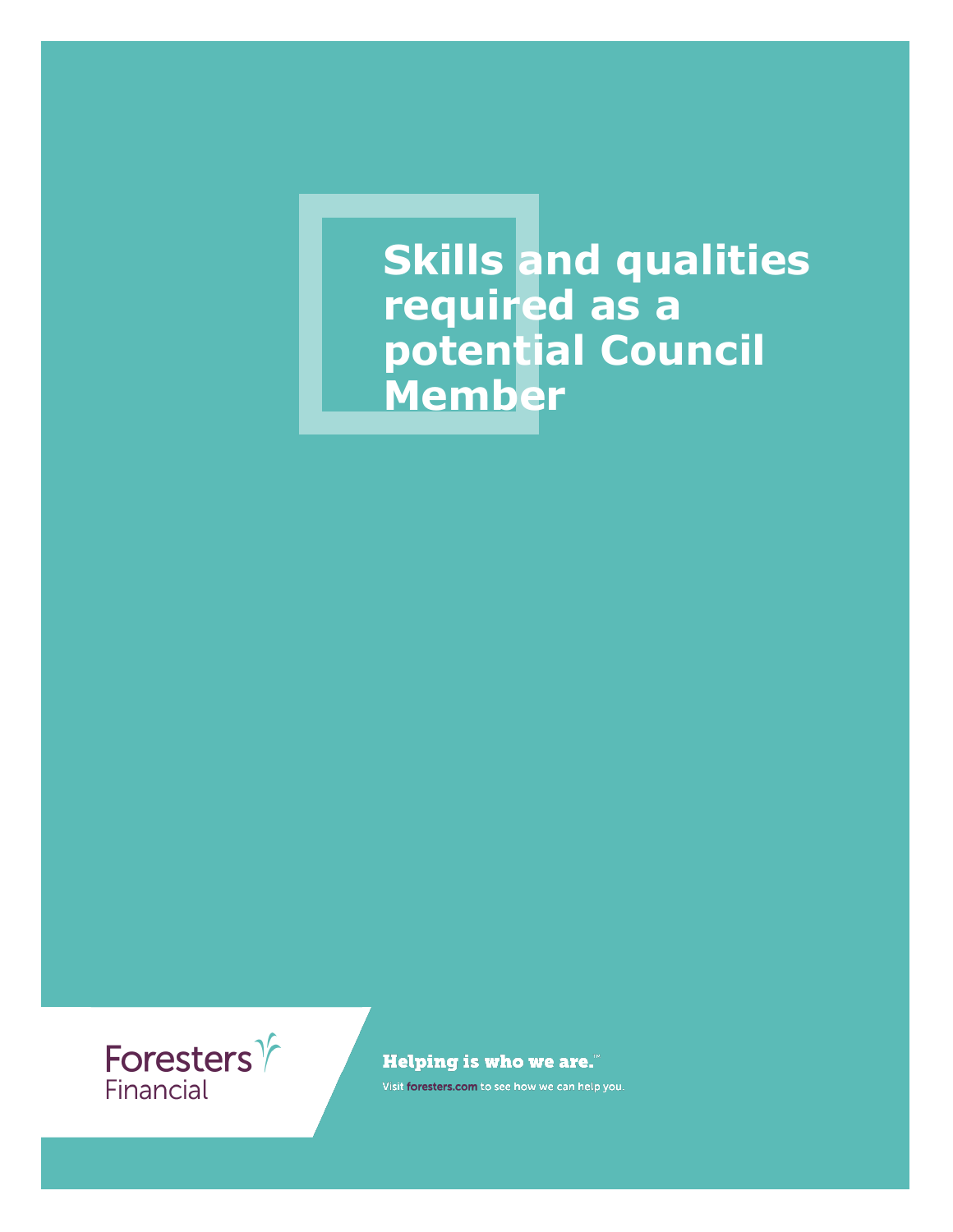**Skills and qualities required as a potential Council Member**



**Helping is who we are."** 

Visit foresters.com to see how we can help you.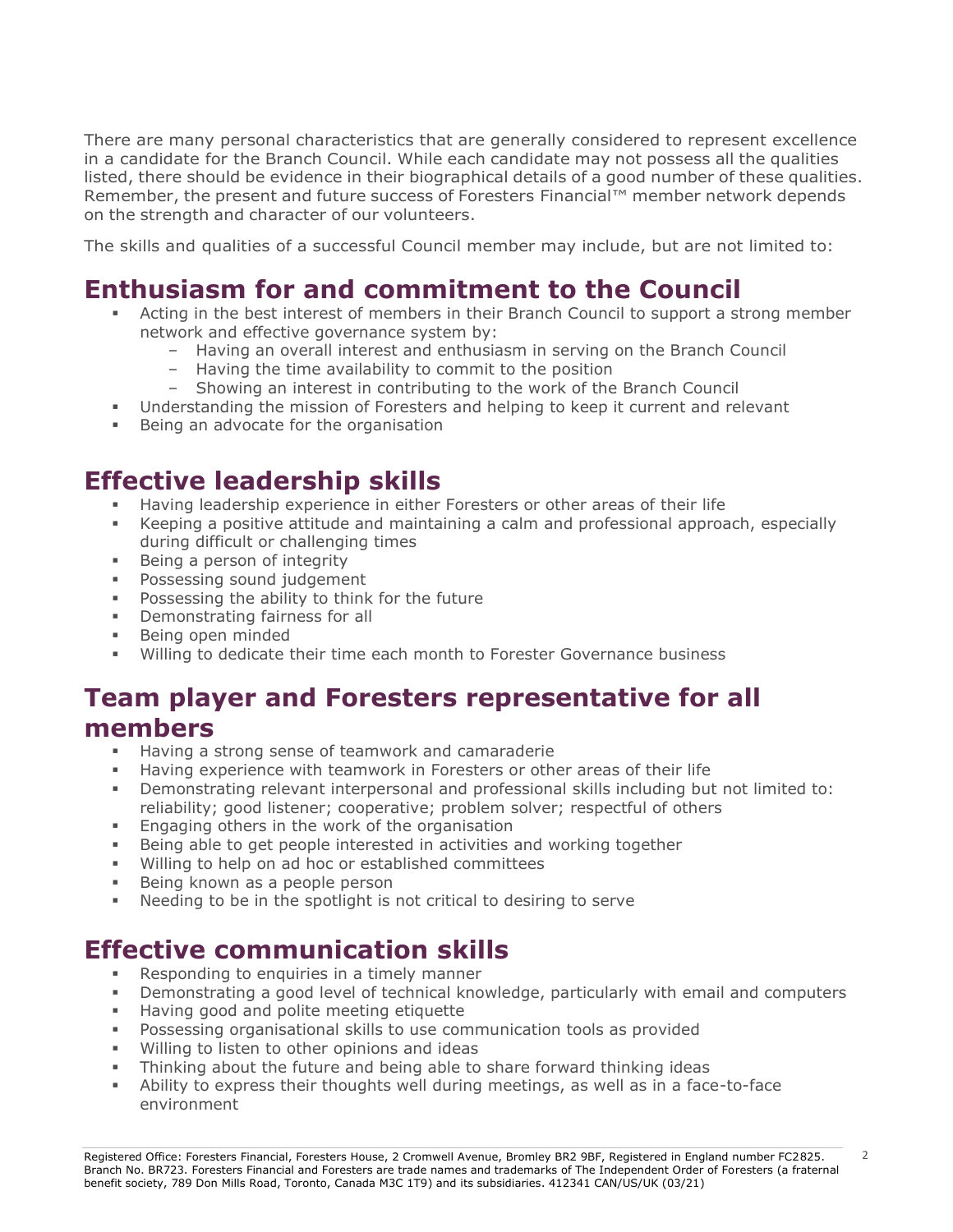There are many personal characteristics that are generally considered to represent excellence in a candidate for the Branch Council. While each candidate may not possess all the qualities listed, there should be evidence in their biographical details of a good number of these qualities. Remember, the present and future success of Foresters Financial™ member network depends on the strength and character of our volunteers.

The skills and qualities of a successful Council member may include, but are not limited to:

## **Enthusiasm for and commitment to the Council**

- Acting in the best interest of members in their Branch Council to support a strong member network and effective governance system by:
	- Having an overall interest and enthusiasm in serving on the Branch Council
	- Having the time availability to commit to the position
	- Showing an interest in contributing to the work of the Branch Council
- **•** Understanding the mission of Foresters and helping to keep it current and relevant
- Being an advocate for the organisation

### **Effective leadership skills**

- Having leadership experience in either Foresters or other areas of their life
- **EXECT** Keeping a positive attitude and maintaining a calm and professional approach, especially during difficult or challenging times
- Being a person of integrity
- Possessing sound judgement
- Possessing the ability to think for the future
- Demonstrating fairness for all
- Being open minded
- Willing to dedicate their time each month to Forester Governance business

#### **Team player and Foresters representative for all members**

- Having a strong sense of teamwork and camaraderie
- Having experience with teamwork in Foresters or other areas of their life
- Demonstrating relevant interpersonal and professional skills including but not limited to: reliability; good listener; cooperative; problem solver; respectful of others
- **Engaging others in the work of the organisation**
- Being able to get people interested in activities and working together
- Willing to help on ad hoc or established committees
- **EXECT:** Being known as a people person
- Needing to be in the spotlight is not critical to desiring to serve

## **Effective communication skills**

- Responding to enquiries in a timely manner
- Demonstrating a good level of technical knowledge, particularly with email and computers
- Having good and polite meeting etiquette
- Possessing organisational skills to use communication tools as provided
- Willing to listen to other opinions and ideas
- Thinking about the future and being able to share forward thinking ideas
- **EXECT** Ability to express their thoughts well during meetings, as well as in a face-to-face environment